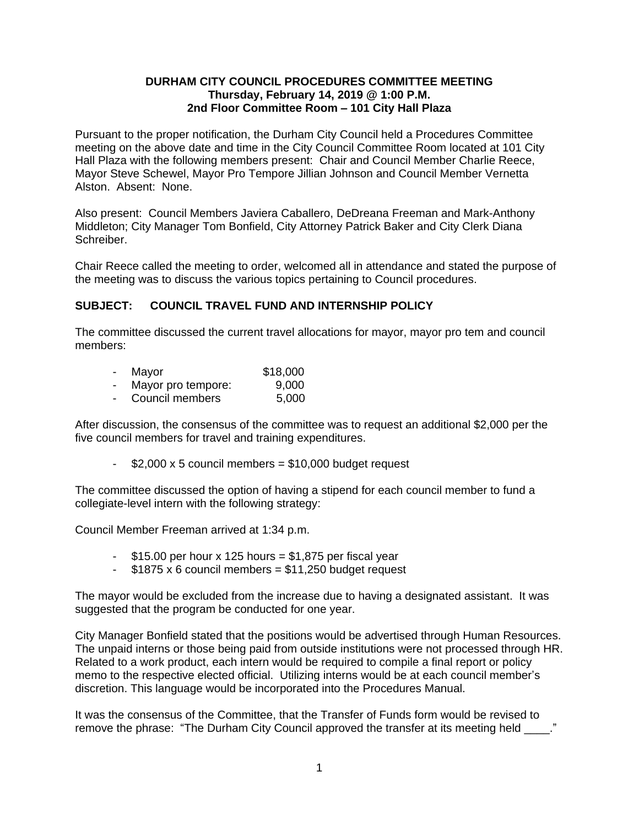### **DURHAM CITY COUNCIL PROCEDURES COMMITTEE MEETING Thursday, February 14, 2019 @ 1:00 P.M. 2nd Floor Committee Room – 101 City Hall Plaza**

Pursuant to the proper notification, the Durham City Council held a Procedures Committee meeting on the above date and time in the City Council Committee Room located at 101 City Hall Plaza with the following members present: Chair and Council Member Charlie Reece, Mayor Steve Schewel, Mayor Pro Tempore Jillian Johnson and Council Member Vernetta Alston. Absent: None.

Also present: Council Members Javiera Caballero, DeDreana Freeman and Mark-Anthony Middleton; City Manager Tom Bonfield, City Attorney Patrick Baker and City Clerk Diana Schreiber.

Chair Reece called the meeting to order, welcomed all in attendance and stated the purpose of the meeting was to discuss the various topics pertaining to Council procedures.

## **SUBJECT: COUNCIL TRAVEL FUND AND INTERNSHIP POLICY**

The committee discussed the current travel allocations for mayor, mayor pro tem and council members:

|  | Mayor                | \$18,000 |
|--|----------------------|----------|
|  | $M$ ovor pro tomporo | n nnn    |

- Mayor pro tempore: 9,000
- Council members 5,000

After discussion, the consensus of the committee was to request an additional \$2,000 per the five council members for travel and training expenditures.

 $-$  \$2,000 x 5 council members = \$10,000 budget request

The committee discussed the option of having a stipend for each council member to fund a collegiate-level intern with the following strategy:

Council Member Freeman arrived at 1:34 p.m.

- $-$  \$15.00 per hour x 125 hours = \$1,875 per fiscal year
- $-$  \$1875 x 6 council members = \$11,250 budget request

The mayor would be excluded from the increase due to having a designated assistant. It was suggested that the program be conducted for one year.

City Manager Bonfield stated that the positions would be advertised through Human Resources. The unpaid interns or those being paid from outside institutions were not processed through HR. Related to a work product, each intern would be required to compile a final report or policy memo to the respective elected official. Utilizing interns would be at each council member's discretion. This language would be incorporated into the Procedures Manual.

It was the consensus of the Committee, that the Transfer of Funds form would be revised to remove the phrase: "The Durham City Council approved the transfer at its meeting held \_\_\_\_."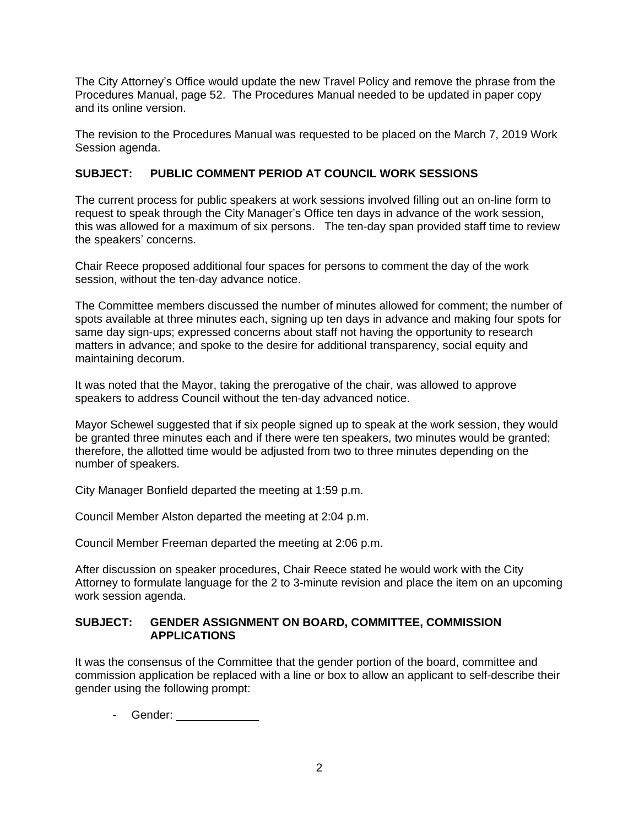The City Attorney's Office would update the new Travel Policy and remove the phrase from the Procedures Manual, page 52. The Procedures Manual needed to be updated in paper copy and its online version.

The revision to the Procedures Manual was requested to be placed on the March 7, 2019 Work Session agenda.

# **SUBJECT: PUBLIC COMMENT PERIOD AT COUNCIL WORK SESSIONS**

The current process for public speakers at work sessions involved filling out an on-line form to request to speak through the City Manager's Office ten days in advance of the work session, this was allowed for a maximum of six persons. The ten-day span provided staff time to review the speakers' concerns.

Chair Reece proposed additional four spaces for persons to comment the day of the work session, without the ten-day advance notice.

The Committee members discussed the number of minutes allowed for comment; the number of spots available at three minutes each, signing up ten days in advance and making four spots for same day sign-ups; expressed concerns about staff not having the opportunity to research matters in advance; and spoke to the desire for additional transparency, social equity and maintaining decorum.

It was noted that the Mayor, taking the prerogative of the chair, was allowed to approve speakers to address Council without the ten-day advanced notice.

Mayor Schewel suggested that if six people signed up to speak at the work session, they would be granted three minutes each and if there were ten speakers, two minutes would be granted; therefore, the allotted time would be adjusted from two to three minutes depending on the number of speakers.

City Manager Bonfield departed the meeting at 1:59 p.m.

Council Member Alston departed the meeting at 2:04 p.m.

Council Member Freeman departed the meeting at 2:06 p.m.

After discussion on speaker procedures, Chair Reece stated he would work with the City Attorney to formulate language for the 2 to 3-minute revision and place the item on an upcoming work session agenda.

#### **SUBJECT: GENDER ASSIGNMENT ON BOARD, COMMITTEE, COMMISSION APPLICATIONS**

It was the consensus of the Committee that the gender portion of the board, committee and commission application be replaced with a line or box to allow an applicant to self-describe their gender using the following prompt:

- Gender: